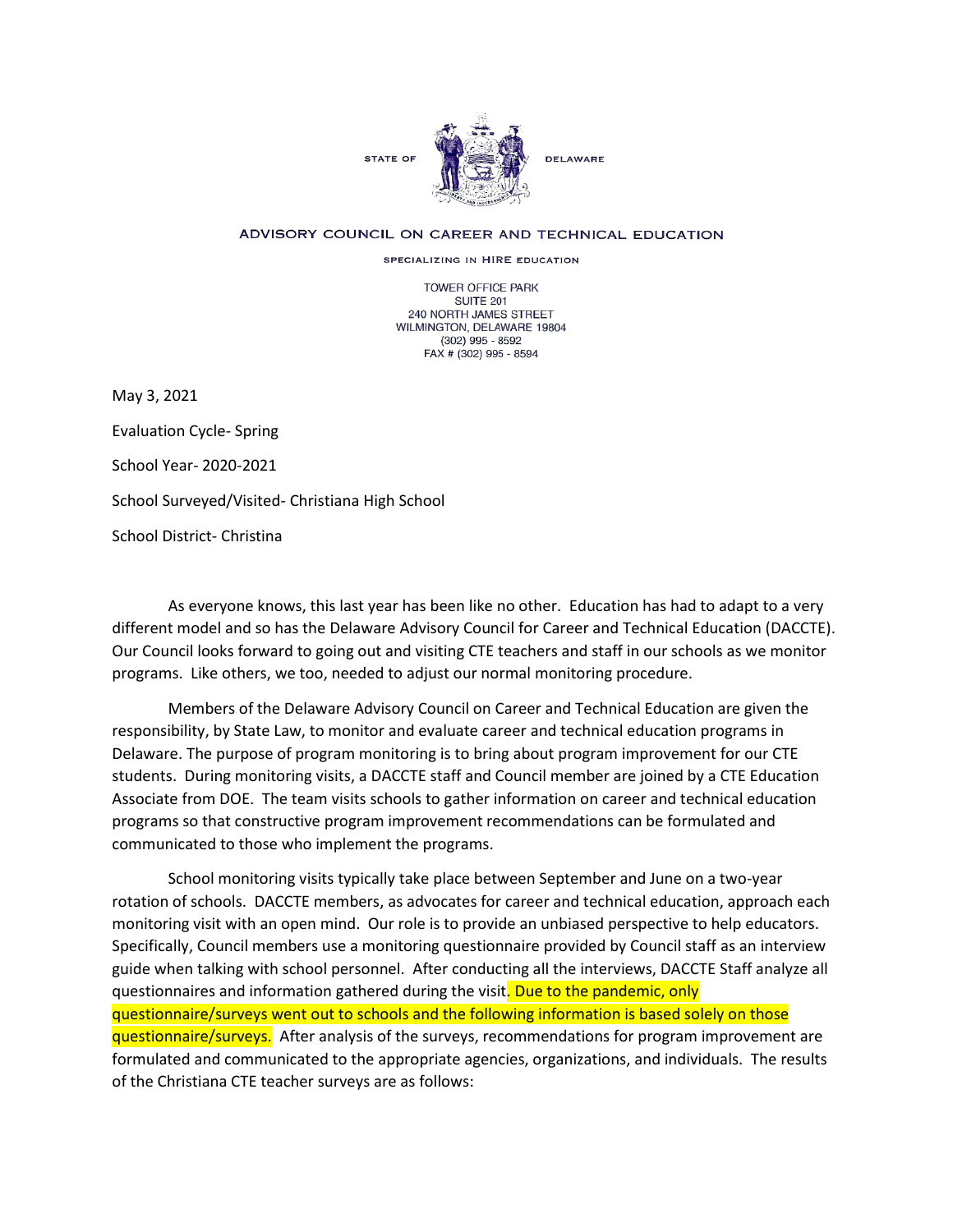

## ADVISORY COUNCIL ON CAREER AND TECHNICAL EDUCATION

SPECIALIZING IN HIRE EDUCATION

TOWER OFFICE PARK SUITE 201 240 NORTH JAMES STREET WILMINGTON, DELAWARE 19804 (302) 995 - 8592 FAX # (302) 995 - 8594

May 3, 2021

Evaluation Cycle- Spring School Year- 2020-2021 School Surveyed/Visited- Christiana High School School District- Christina

As everyone knows, this last year has been like no other. Education has had to adapt to a very different model and so has the Delaware Advisory Council for Career and Technical Education (DACCTE). Our Council looks forward to going out and visiting CTE teachers and staff in our schools as we monitor programs. Like others, we too, needed to adjust our normal monitoring procedure.

Members of the Delaware Advisory Council on Career and Technical Education are given the responsibility, by State Law, to monitor and evaluate career and technical education programs in Delaware. The purpose of program monitoring is to bring about program improvement for our CTE students. During monitoring visits, a DACCTE staff and Council member are joined by a CTE Education Associate from DOE. The team visits schools to gather information on career and technical education programs so that constructive program improvement recommendations can be formulated and communicated to those who implement the programs.

School monitoring visits typically take place between September and June on a two-year rotation of schools. DACCTE members, as advocates for career and technical education, approach each monitoring visit with an open mind. Our role is to provide an unbiased perspective to help educators. Specifically, Council members use a monitoring questionnaire provided by Council staff as an interview guide when talking with school personnel. After conducting all the interviews, DACCTE Staff analyze all questionnaires and information gathered during the visit. Due to the pandemic, only questionnaire/surveys went out to schools and the following information is based solely on those questionnaire/surveys. After analysis of the surveys, recommendations for program improvement are formulated and communicated to the appropriate agencies, organizations, and individuals. The results of the Christiana CTE teacher surveys are as follows: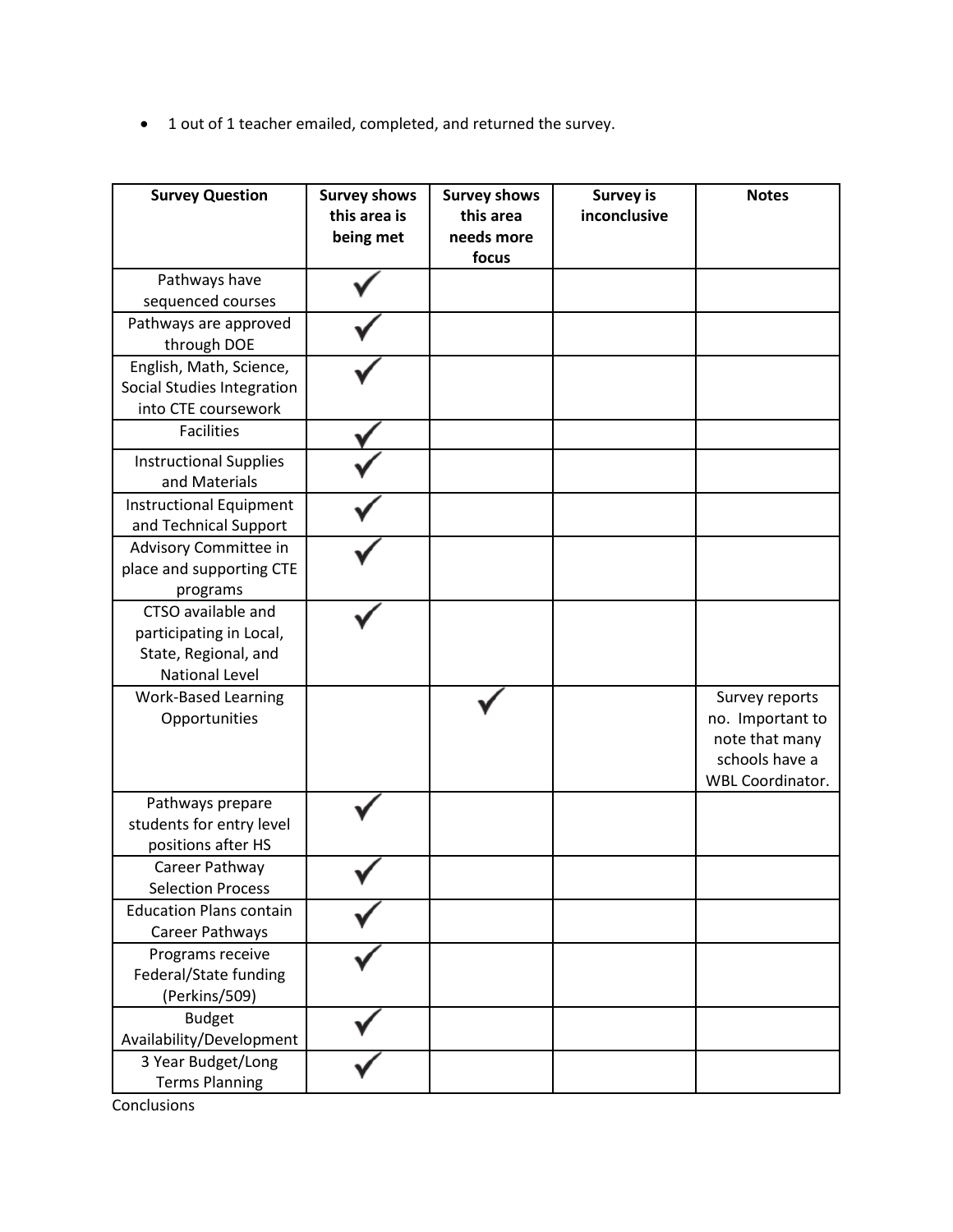• 1 out of 1 teacher emailed, completed, and returned the survey.

| <b>Survey Question</b>                                                                         | <b>Survey shows</b><br>this area is<br>being met | <b>Survey shows</b><br>this area<br>needs more<br>focus | <b>Survey is</b><br>inconclusive | <b>Notes</b>                                                                                      |
|------------------------------------------------------------------------------------------------|--------------------------------------------------|---------------------------------------------------------|----------------------------------|---------------------------------------------------------------------------------------------------|
| Pathways have<br>sequenced courses                                                             |                                                  |                                                         |                                  |                                                                                                   |
| Pathways are approved<br>through DOE                                                           |                                                  |                                                         |                                  |                                                                                                   |
| English, Math, Science,<br>Social Studies Integration<br>into CTE coursework                   |                                                  |                                                         |                                  |                                                                                                   |
| <b>Facilities</b>                                                                              |                                                  |                                                         |                                  |                                                                                                   |
| <b>Instructional Supplies</b><br>and Materials                                                 |                                                  |                                                         |                                  |                                                                                                   |
| <b>Instructional Equipment</b><br>and Technical Support                                        |                                                  |                                                         |                                  |                                                                                                   |
| Advisory Committee in<br>place and supporting CTE<br>programs                                  |                                                  |                                                         |                                  |                                                                                                   |
| CTSO available and<br>participating in Local,<br>State, Regional, and<br><b>National Level</b> |                                                  |                                                         |                                  |                                                                                                   |
| <b>Work-Based Learning</b><br>Opportunities                                                    |                                                  |                                                         |                                  | Survey reports<br>no. Important to<br>note that many<br>schools have a<br><b>WBL Coordinator.</b> |
| Pathways prepare<br>students for entry level<br>positions after HS                             |                                                  |                                                         |                                  |                                                                                                   |
| Career Pathway<br><b>Selection Process</b>                                                     |                                                  |                                                         |                                  |                                                                                                   |
| <b>Education Plans contain</b><br>Career Pathways                                              |                                                  |                                                         |                                  |                                                                                                   |
| Programs receive<br>Federal/State funding<br>(Perkins/509)                                     |                                                  |                                                         |                                  |                                                                                                   |
| <b>Budget</b><br>Availability/Development                                                      |                                                  |                                                         |                                  |                                                                                                   |
| 3 Year Budget/Long<br><b>Terms Planning</b>                                                    |                                                  |                                                         |                                  |                                                                                                   |

Conclusions